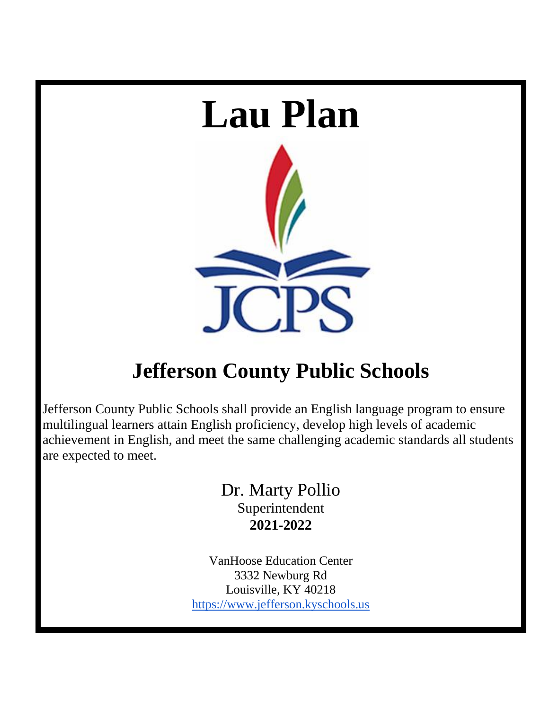

# **Jefferson County Public Schools**

Jefferson County Public Schools shall provide an English language program to ensure multilingual learners attain English proficiency, develop high levels of academic achievement in English, and meet the same challenging academic standards all students are expected to meet.

> Dr. Marty Pollio Superintendent **2021-2022**

VanHoose Education Center 3332 Newburg Rd Louisville, KY 40218 [https://www.jefferson.kyschools.us](https://www.jefferson.kyschools.us/)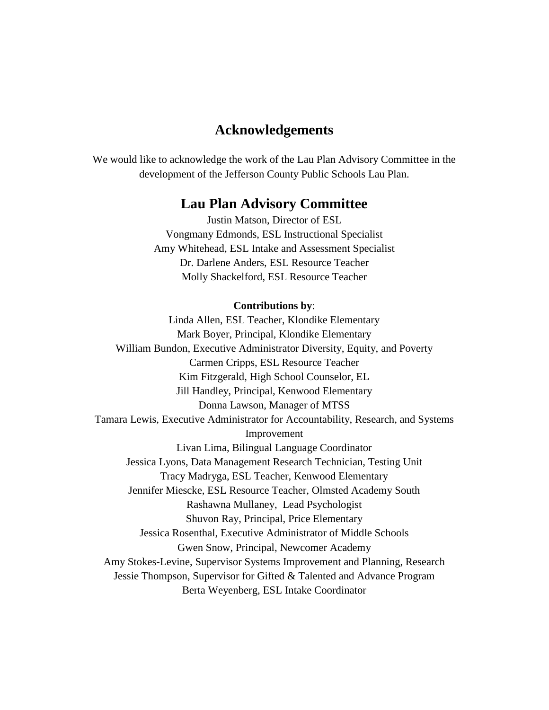# **Acknowledgements**

We would like to acknowledge the work of the Lau Plan Advisory Committee in the development of the Jefferson County Public Schools Lau Plan.

# **Lau Plan Advisory Committee**

Justin Matson, Director of ESL Vongmany Edmonds, ESL Instructional Specialist Amy Whitehead, ESL Intake and Assessment Specialist Dr. Darlene Anders, ESL Resource Teacher Molly Shackelford, ESL Resource Teacher

#### **Contributions by**:

Linda Allen, ESL Teacher, Klondike Elementary Mark Boyer, Principal, Klondike Elementary William Bundon, Executive Administrator Diversity, Equity, and Poverty Carmen Cripps, ESL Resource Teacher Kim Fitzgerald, High School Counselor, EL Jill Handley, Principal, Kenwood Elementary Donna Lawson, Manager of MTSS Tamara Lewis, Executive Administrator for Accountability, Research, and Systems Improvement Livan Lima, Bilingual Language Coordinator Jessica Lyons, Data Management Research Technician, Testing Unit Tracy Madryga, ESL Teacher, Kenwood Elementary Jennifer Miescke, ESL Resource Teacher, Olmsted Academy South Rashawna Mullaney, Lead Psychologist Shuvon Ray, Principal, Price Elementary Jessica Rosenthal, Executive Administrator of Middle Schools Gwen Snow, Principal, Newcomer Academy Amy Stokes-Levine, Supervisor Systems Improvement and Planning, Research Jessie Thompson, Supervisor for Gifted & Talented and Advance Program Berta Weyenberg, ESL Intake Coordinator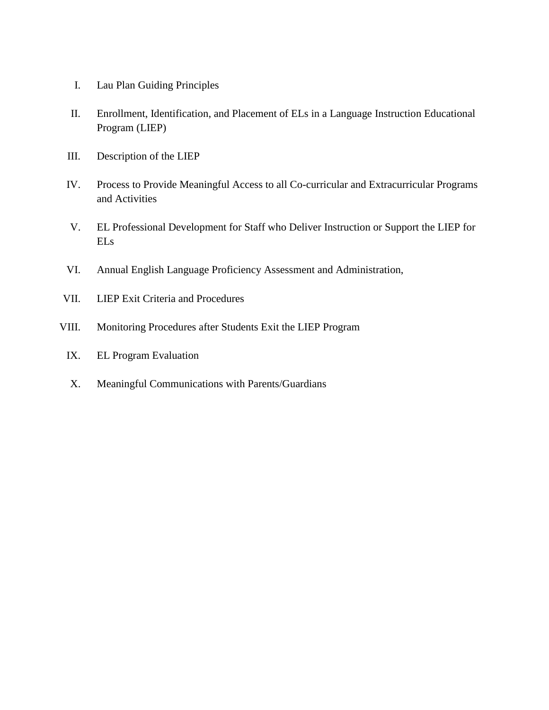- I. Lau Plan Guiding Principles
- II. Enrollment, Identification, and Placement of ELs in a Language Instruction Educational Program (LIEP)
- III. Description of the LIEP
- IV. Process to Provide Meaningful Access to all Co-curricular and Extracurricular Programs and Activities
- V. EL Professional Development for Staff who Deliver Instruction or Support the LIEP for ELs
- VI. Annual English Language Proficiency Assessment and Administration,
- VII. LIEP Exit Criteria and Procedures
- VIII. Monitoring Procedures after Students Exit the LIEP Program
	- IX. EL Program Evaluation
	- X. Meaningful Communications with Parents/Guardians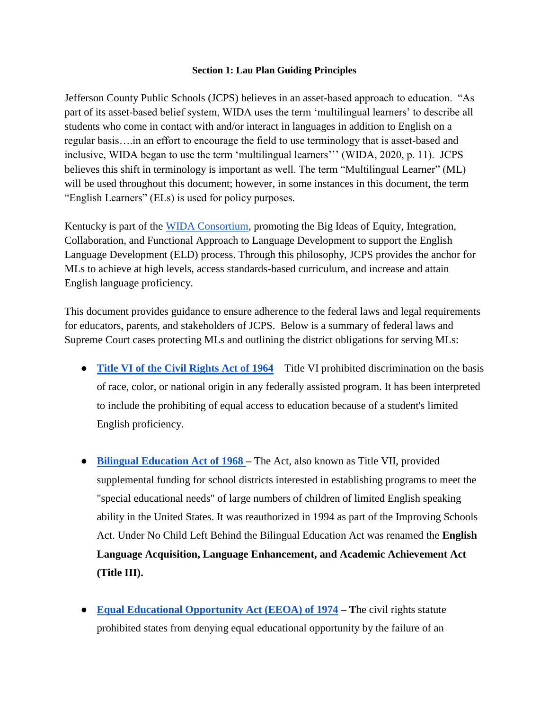#### **Section 1: Lau Plan Guiding Principles**

Jefferson County Public Schools (JCPS) believes in an asset-based approach to education. "As part of its asset-based belief system, WIDA uses the term 'multilingual learners' to describe all students who come in contact with and/or interact in languages in addition to English on a regular basis….in an effort to encourage the field to use terminology that is asset-based and inclusive, WIDA began to use the term 'multilingual learners''' (WIDA, 2020, p. 11). JCPS believes this shift in terminology is important as well. The term "Multilingual Learner" (ML) will be used throughout this document; however, in some instances in this document, the term "English Learners" (ELs) is used for policy purposes.

Kentucky is part of the [WIDA Consortium,](https://wida.wisc.edu/memberships/consortium) promoting the Big Ideas of Equity, Integration, Collaboration, and Functional Approach to Language Development to support the English Language Development (ELD) process. Through this philosophy, JCPS provides the anchor for MLs to achieve at high levels, access standards-based curriculum, and increase and attain English language proficiency.

This document provides guidance to ensure adherence to the federal laws and legal requirements for educators, parents, and stakeholders of JCPS. Below is a summary of federal laws and Supreme Court cases protecting MLs and outlining the district obligations for serving MLs:

- **[Title VI of the Civil Rights Act of 1964](http://www.justice.gov/crt/about/cor/coord/titlevi.php)** Title VI prohibited discrimination on the basis of race, color, or national origin in any federally assisted program. It has been interpreted to include the prohibiting of equal access to education because of a student's limited English proficiency.
- **[Bilingual Education Act of 1968 –](https://www.gpo.gov/fdsys/pkg/STATUTE-81/pdf/STATUTE-81-Pg783.pdf)** The Act, also known as Title VII, provided supplemental funding for school districts interested in establishing programs to meet the "special educational needs" of large numbers of children of limited English speaking ability in the United States. It was reauthorized in 1994 as part of the Improving Schools Act. Under No Child Left Behind the Bilingual Education Act was renamed the **English Language Acquisition, Language Enhancement, and Academic Achievement Act (Title III).**
- **[Equal Educational Opportunity Act \(EEOA\) of 1974](https://www.gpo.gov/fdsys/pkg/USCODE-2010-title20/pdf/USCODE-2010-title20-chap39-subchapI-part2-sec1703.pdf) – T**he civil rights statute prohibited states from denying equal educational opportunity by the failure of an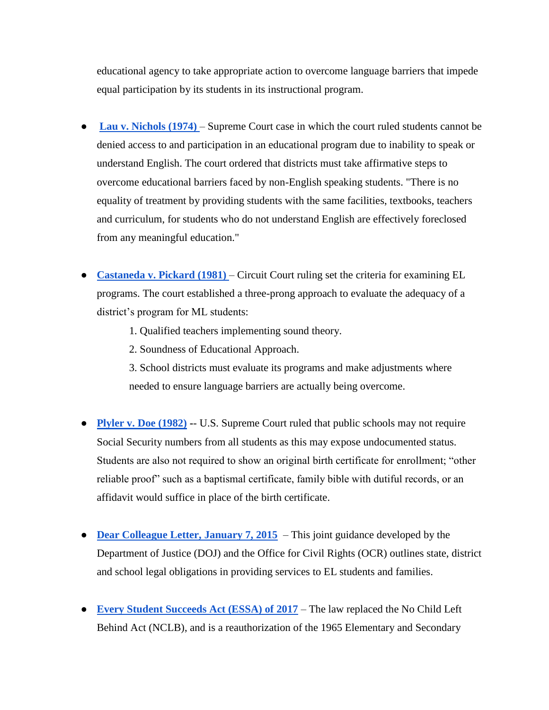educational agency to take appropriate action to overcome language barriers that impede equal participation by its students in its instructional program.

- **Lau v. Nichols (1974)** Supreme Court case in which the court ruled students cannot be denied access to and participation in an educational program due to inability to speak or understand English. The court ordered that districts must take affirmative steps to overcome educational barriers faced by non-English speaking students. "There is no equality of treatment by providing students with the same facilities, textbooks, teachers and curriculum, for students who do not understand English are effectively foreclosed from any meaningful education."
- **[Castaneda v. Pickard \(1981\)](http://web.stanford.edu/~hakuta/www/LAU/IAPolicy/IA1bCastanedaFullText.htm)** Circuit Court ruling set the criteria for examining EL programs. The court established a three-prong approach to evaluate the adequacy of a district's program for ML students:
	- 1. Qualified teachers implementing sound theory.
	- 2. Soundness of Educational Approach.

3. School districts must evaluate its programs and make adjustments where needed to ensure language barriers are actually being overcome.

- **[Plyler v. Doe \(1982\)](https://www.americanimmigrationcouncil.org/research/plyler-v-doe-public-education-immigrant-students) -** U.S. Supreme Court ruled that public schools may not require Social Security numbers from all students as this may expose undocumented status. Students are also not required to show an original birth certificate for enrollment; "other reliable proof" such as a baptismal certificate, family bible with dutiful records, or an affidavit would suffice in place of the birth certificate.
- **[Dear Colleague Letter, January 7, 2015](https://www2.ed.gov/about/offices/list/ocr/letters/colleague-el-201501.pdf)** This joint guidance developed by the Department of Justice (DOJ) and the Office for Civil Rights (OCR) outlines state, district and school legal obligations in providing services to EL students and families.
- **[Every Student Succeeds Act \(ESSA\) of 2017](https://www.ed.gov/essa?src=rn)** The law replaced the No Child Left Behind Act (NCLB), and is a reauthorization of the 1965 Elementary and Secondary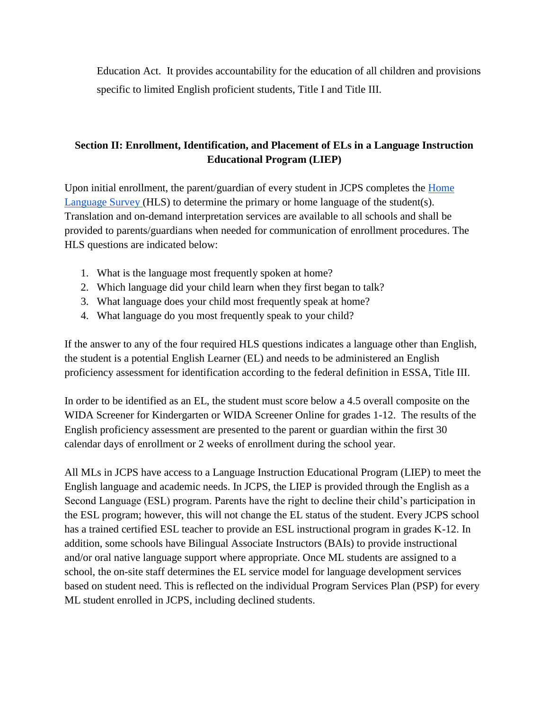Education Act. It provides accountability for the education of all children and provisions specific to limited English proficient students, Title I and Title III.

# **Section II: Enrollment, Identification, and Placement of ELs in a Language Instruction Educational Program (LIEP)**

Upon initial enrollment, the parent/guardian of every student in JCPS completes the Home [Language Survey \(](https://education.ky.gov/federal/progs/eng/Documents/Home%20Language%20Survey%20Template.pdf)HLS) to determine the primary or home language of the student(s). Translation and on-demand interpretation services are available to all schools and shall be provided to parents/guardians when needed for communication of enrollment procedures. The HLS questions are indicated below:

- 1. What is the language most frequently spoken at home?
- 2. Which language did your child learn when they first began to talk?
- 3. What language does your child most frequently speak at home?
- 4. What language do you most frequently speak to your child?

If the answer to any of the four required HLS questions indicates a language other than English, the student is a potential English Learner (EL) and needs to be administered an English proficiency assessment for identification according to the federal definition in ESSA, Title III.

In order to be identified as an EL, the student must score below a 4.5 overall composite on the WIDA Screener for Kindergarten or WIDA Screener Online for grades 1-12. The results of the English proficiency assessment are presented to the parent or guardian within the first 30 calendar days of enrollment or 2 weeks of enrollment during the school year.

All MLs in JCPS have access to a Language Instruction Educational Program (LIEP) to meet the English language and academic needs. In JCPS, the LIEP is provided through the English as a Second Language (ESL) program. Parents have the right to decline their child's participation in the ESL program; however, this will not change the EL status of the student. Every JCPS school has a trained certified ESL teacher to provide an ESL instructional program in grades K-12. In addition, some schools have Bilingual Associate Instructors (BAIs) to provide instructional and/or oral native language support where appropriate. Once ML students are assigned to a school, the on-site staff determines the EL service model for language development services based on student need. This is reflected on the individual Program Services Plan (PSP) for every ML student enrolled in JCPS, including declined students.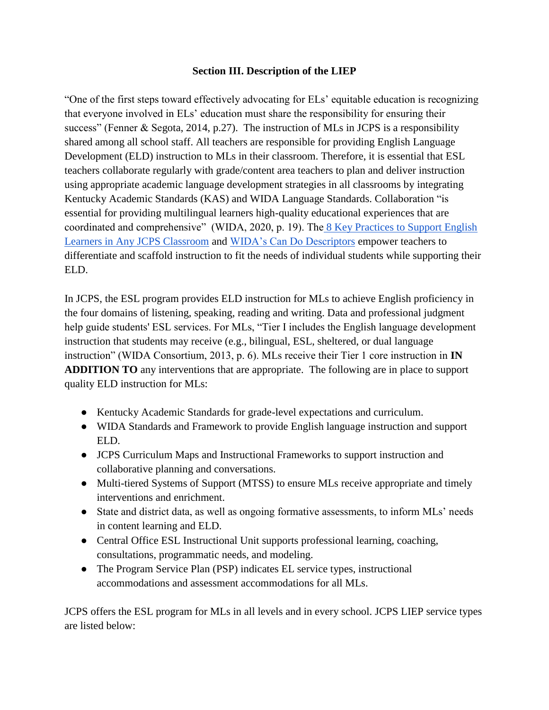## **Section III. Description of the LIEP**

"One of the first steps toward effectively advocating for ELs' equitable education is recognizing that everyone involved in ELs' education must share the responsibility for ensuring their success" (Fenner & Segota, 2014, p.27). The instruction of MLs in JCPS is a responsibility shared among all school staff. All teachers are responsible for providing English Language Development (ELD) instruction to MLs in their classroom. Therefore, it is essential that ESL teachers collaborate regularly with grade/content area teachers to plan and deliver instruction using appropriate academic language development strategies in all classrooms by integrating Kentucky Academic Standards (KAS) and WIDA Language Standards. Collaboration "is essential for providing multilingual learners high-quality educational experiences that are coordinated and comprehensive" (WIDA, 2020, p. 19). The [8 Key Practices to Support English](https://drive.google.com/file/d/12DL8pblh0JcwKAHoNQUZRwZ4EnfW6k8u/view?usp=sharing)  [Learners in Any JCPS Classroom](https://drive.google.com/file/d/12DL8pblh0JcwKAHoNQUZRwZ4EnfW6k8u/view?usp=sharing) and [WIDA's Can Do Descriptors](https://wida.wisc.edu/teach/can-do/descriptors) empower teachers to differentiate and scaffold instruction to fit the needs of individual students while supporting their ELD.

In JCPS, the ESL program provides ELD instruction for MLs to achieve English proficiency in the four domains of listening, speaking, reading and writing. Data and professional judgment help guide students' ESL services. For MLs, "Tier I includes the English language development instruction that students may receive (e.g., bilingual, ESL, sheltered, or dual language instruction" (WIDA Consortium, 2013, p. 6). MLs receive their Tier 1 core instruction in **IN ADDITION TO** any interventions that are appropriate. The following are in place to support quality ELD instruction for MLs:

- Kentucky Academic Standards for grade-level expectations and curriculum.
- WIDA Standards and Framework to provide English language instruction and support ELD.
- JCPS Curriculum Maps and Instructional Frameworks to support instruction and collaborative planning and conversations.
- Multi-tiered Systems of Support (MTSS) to ensure MLs receive appropriate and timely interventions and enrichment.
- State and district data, as well as ongoing formative assessments, to inform MLs' needs in content learning and ELD.
- Central Office ESL Instructional Unit supports professional learning, coaching, consultations, programmatic needs, and modeling.
- The Program Service Plan (PSP) indicates EL service types, instructional accommodations and assessment accommodations for all MLs.

JCPS offers the ESL program for MLs in all levels and in every school. JCPS LIEP service types are listed below: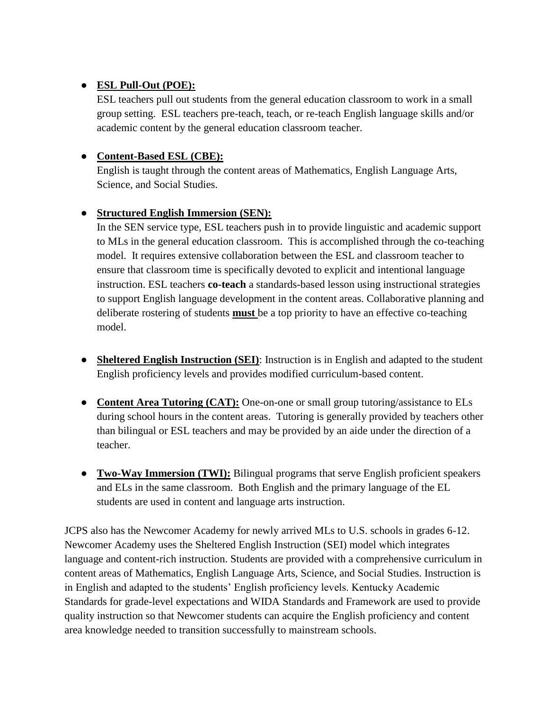# ● **ESL Pull-Out (POE):**

ESL teachers pull out students from the general education classroom to work in a small group setting. ESL teachers pre-teach, teach, or re-teach English language skills and/or academic content by the general education classroom teacher.

# ● **Content-Based ESL (CBE):**

English is taught through the content areas of Mathematics, English Language Arts, Science, and Social Studies.

# ● **Structured English Immersion (SEN):**

In the SEN service type, ESL teachers push in to provide linguistic and academic support to MLs in the general education classroom. This is accomplished through the co-teaching model. It requires extensive collaboration between the ESL and classroom teacher to ensure that classroom time is specifically devoted to explicit and intentional language instruction. ESL teachers **co-teach** a standards-based lesson using instructional strategies to support English language development in the content areas. Collaborative planning and deliberate rostering of students **must** be a top priority to have an effective co-teaching model.

- **Sheltered English Instruction (SEI)**: Instruction is in English and adapted to the student English proficiency levels and provides modified curriculum-based content.
- **Content Area Tutoring (CAT):** One-on-one or small group tutoring/assistance to ELs during school hours in the content areas. Tutoring is generally provided by teachers other than bilingual or ESL teachers and may be provided by an aide under the direction of a teacher.
- **Two-Way Immersion (TWI):** Bilingual programs that serve English proficient speakers and ELs in the same classroom. Both English and the primary language of the EL students are used in content and language arts instruction.

JCPS also has the Newcomer Academy for newly arrived MLs to U.S. schools in grades 6-12. Newcomer Academy uses the Sheltered English Instruction (SEI) model which integrates language and content-rich instruction. Students are provided with a comprehensive curriculum in content areas of Mathematics, English Language Arts, Science, and Social Studies. Instruction is in English and adapted to the students' English proficiency levels. Kentucky Academic Standards for grade-level expectations and WIDA Standards and Framework are used to provide quality instruction so that Newcomer students can acquire the English proficiency and content area knowledge needed to transition successfully to mainstream schools.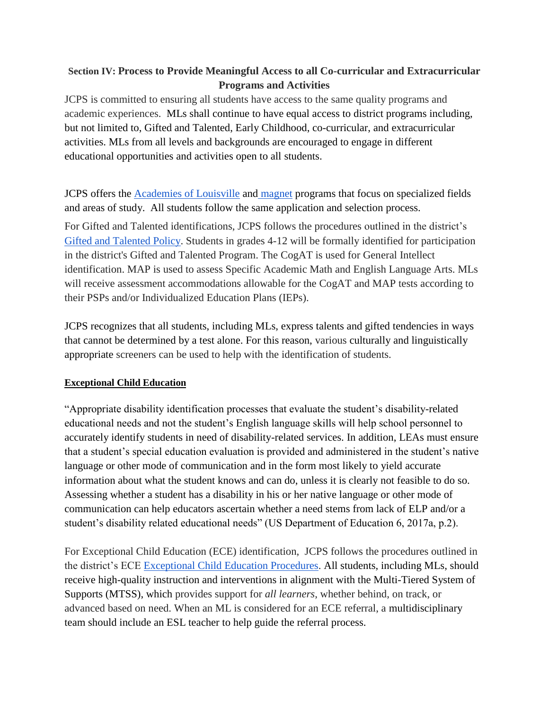# **Section IV: Process to Provide Meaningful Access to all Co-curricular and Extracurricular Programs and Activities**

JCPS is committed to ensuring all students have access to the same quality programs and academic experiences. MLs shall continue to have equal access to district programs including, but not limited to, Gifted and Talented, Early Childhood, co-curricular, and extracurricular activities. MLs from all levels and backgrounds are encouraged to engage in different educational opportunities and activities open to all students.

JCPS offers the [Academies of Louisville](https://www.jefferson.kyschools.us/schools/academies-louisville/academies-business-and-community-partners) and [magnet](https://www.jefferson.kyschools.us/schools/how-apply/magnet-program/optional-magnet-lottery-wait-list) programs that focus on specialized fields and areas of study. All students follow the same application and selection process.

For Gifted and Talented identifications, JCPS follows the procedures outlined in the district's [Gifted and Talented Policy.](https://drive.google.com/file/d/1JzU2N2bR5fTe34haQuAi_i3jRExE_j9K/view) Students in grades 4-12 will be formally identified for participation in the district's Gifted and Talented Program. The CogAT is used for General Intellect identification. MAP is used to assess Specific Academic Math and English Language Arts. MLs will receive assessment accommodations allowable for the CogAT and MAP tests according to their PSPs and/or Individualized Education Plans (IEPs).

JCPS recognizes that all students, including MLs, express talents and gifted tendencies in ways that cannot be determined by a test alone. For this reason, various culturally and linguistically appropriate screeners can be used to help with the identification of students.

# **Exceptional Child Education**

"Appropriate disability identification processes that evaluate the student's disability-related educational needs and not the student's English language skills will help school personnel to accurately identify students in need of disability-related services. In addition, LEAs must ensure that a student's special education evaluation is provided and administered in the student's native language or other mode of communication and in the form most likely to yield accurate information about what the student knows and can do, unless it is clearly not feasible to do so. Assessing whether a student has a disability in his or her native language or other mode of communication can help educators ascertain whether a need stems from lack of ELP and/or a student's disability related educational needs" (US Department of Education 6, 2017a, p.2).

For Exceptional Child Education (ECE) identification, JCPS follows the procedures outlined in the district's ECE [Exceptional Child Education Procedures.](https://www.jefferson.kyschools.us/sites/default/files/forms/ECE%20Exceptional%20Child%20Education%20Policy%20and%20Procedures.pdf) All students, including MLs, should receive high-quality instruction and interventions in alignment with the Multi-Tiered System of Supports (MTSS), which provides support for *all learners*, whether behind, on track, or advanced based on need. When an ML is considered for an ECE referral, a multidisciplinary team should include an ESL teacher to help guide the referral process.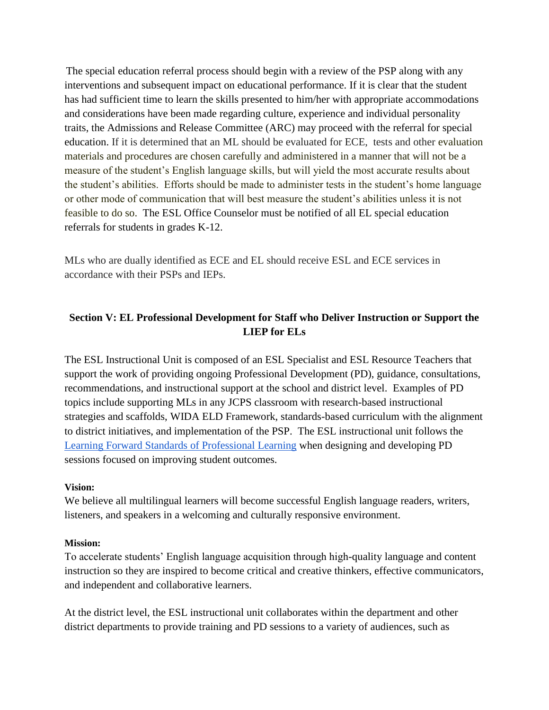The special education referral process should begin with a review of the PSP along with any interventions and subsequent impact on educational performance. If it is clear that the student has had sufficient time to learn the skills presented to him/her with appropriate accommodations and considerations have been made regarding culture, experience and individual personality traits, the Admissions and Release Committee (ARC) may proceed with the referral for special education. If it is determined that an ML should be evaluated for ECE, tests and other evaluation materials and procedures are chosen carefully and administered in a manner that will not be a measure of the student's English language skills, but will yield the most accurate results about the student's abilities. Efforts should be made to administer tests in the student's home language or other mode of communication that will best measure the student's abilities unless it is not feasible to do so. The ESL Office Counselor must be notified of all EL special education referrals for students in grades K-12.

MLs who are dually identified as ECE and EL should receive ESL and ECE services in accordance with their PSPs and IEPs.

## **Section V: EL Professional Development for Staff who Deliver Instruction or Support the LIEP for ELs**

The ESL Instructional Unit is composed of an ESL Specialist and ESL Resource Teachers that support the work of providing ongoing Professional Development (PD), guidance, consultations, recommendations, and instructional support at the school and district level. Examples of PD topics include supporting MLs in any JCPS classroom with research-based instructional strategies and scaffolds, WIDA ELD Framework, standards-based curriculum with the alignment to district initiatives, and implementation of the PSP. The ESL instructional unit follows the [Learning Forward Standards of Professional Learning](https://learningforward.org/standards-for-professional-learning/) when designing and developing PD sessions focused on improving student outcomes.

## **Vision:**

We believe all multilingual learners will become successful English language readers, writers, listeners, and speakers in a welcoming and culturally responsive environment.

## **Mission:**

To accelerate students' English language acquisition through high-quality language and content instruction so they are inspired to become critical and creative thinkers, effective communicators, and independent and collaborative learners.

At the district level, the ESL instructional unit collaborates within the department and other district departments to provide training and PD sessions to a variety of audiences, such as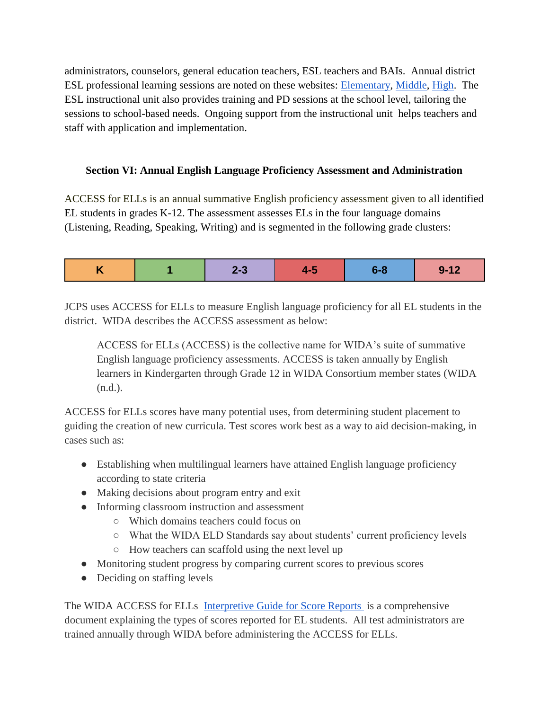administrators, counselors, general education teachers, ESL teachers and BAIs. Annual district ESL professional learning sessions are noted on these websites: [Elementary,](https://sites.google.com/jefferson.kyschools.us/elementary-esl-instructional-s/home) [Middle,](https://sites.google.com/jefferson.kyschools.us/middleschooleslresource/home?pli=1&authuser=0) [High.](https://sites.google.com/jefferson.kyschools.us/jcpshsesl/home) The ESL instructional unit also provides training and PD sessions at the school level, tailoring the sessions to school-based needs. Ongoing support from the instructional unit helps teachers and staff with application and implementation.

## **Section VI: Annual English Language Proficiency Assessment and Administration**

ACCESS for ELLs is an annual summative English proficiency assessment given to all identified EL students in grades K-12. The assessment assesses ELs in the four language domains (Listening, Reading, Speaking, Writing) and is segmented in the following grade clusters:

|  |  | __ |  |  |  |
|--|--|----|--|--|--|
|--|--|----|--|--|--|

JCPS uses ACCESS for ELLs to measure English language proficiency for all EL students in the district. WIDA describes the ACCESS assessment as below:

ACCESS for ELLs (ACCESS) is the collective name for WIDA's suite of summative English language proficiency assessments. ACCESS is taken annually by English learners in Kindergarten through Grade 12 in WIDA Consortium member states (WIDA (n.d.).

ACCESS for ELLs scores have many potential uses, from determining student placement to guiding the creation of new curricula. Test scores work best as a way to aid decision-making, in cases such as:

- Establishing when multilingual learners have attained English language proficiency according to state criteria
- Making decisions about program entry and exit
- Informing classroom instruction and assessment
	- Which domains teachers could focus on
	- What the WIDA ELD Standards say about students' current proficiency levels
	- How teachers can scaffold using the next level up
- Monitoring student progress by comparing current scores to previous scores
- Deciding on staffing levels

The WIDA ACCESS for ELLs [Interpretive Guide for Score Reports](https://wida.wisc.edu/sites/default/files/resource/Interpretive-Guide.pdf) is a comprehensive document explaining the types of scores reported for EL students. All test administrators are trained annually through WIDA before administering the ACCESS for ELLs.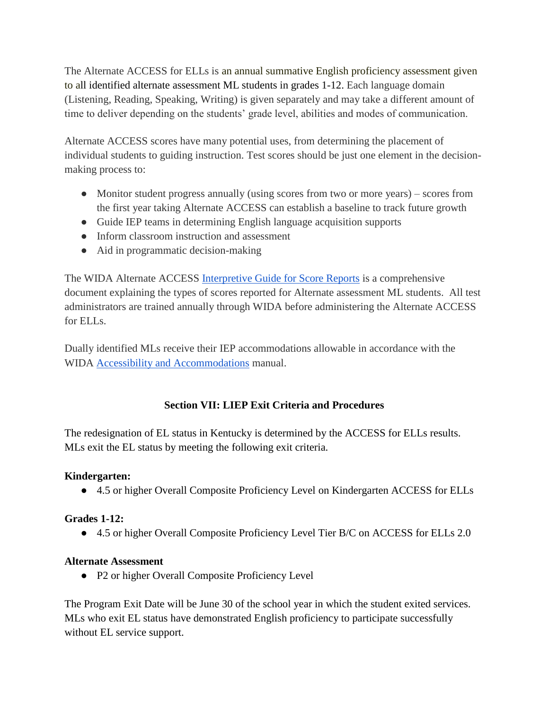The Alternate ACCESS for ELLs is an annual summative English proficiency assessment given to all identified alternate assessment ML students in grades 1-12. Each language domain (Listening, Reading, Speaking, Writing) is given separately and may take a different amount of time to deliver depending on the students' grade level, abilities and modes of communication.

Alternate ACCESS scores have many potential uses, from determining the placement of individual students to guiding instruction. Test scores should be just one element in the decisionmaking process to:

- Monitor student progress annually (using scores from two or more years) scores from the first year taking Alternate ACCESS can establish a baseline to track future growth
- Guide IEP teams in determining English language acquisition supports
- Inform classroom instruction and assessment
- Aid in programmatic decision-making

The WIDA Alternate ACCESS [Interpretive Guide for Score Reports](https://wida.wisc.edu/sites/default/files/resource/Alt-Interpretive-Guide.pdf) is a comprehensive document explaining the types of scores reported for Alternate assessment ML students. All test administrators are trained annually through WIDA before administering the Alternate ACCESS for ELLs.

Dually identified MLs receive their IEP accommodations allowable in accordance with the WIDA [Accessibility and Accommodations](https://wida.wisc.edu/sites/default/files/resource/Accessibility-Accommodations-Manual.pdf) manual.

# **Section VII: LIEP Exit Criteria and Procedures**

The redesignation of EL status in Kentucky is determined by the ACCESS for ELLs results. MLs exit the EL status by meeting the following exit criteria.

# **Kindergarten:**

● 4.5 or higher Overall Composite Proficiency Level on Kindergarten ACCESS for ELLs

## **Grades 1-12:**

● 4.5 or higher Overall Composite Proficiency Level Tier B/C on ACCESS for ELLs 2.0

## **Alternate Assessment**

• P2 or higher Overall Composite Proficiency Level

The Program Exit Date will be June 30 of the school year in which the student exited services. MLs who exit EL status have demonstrated English proficiency to participate successfully without EL service support.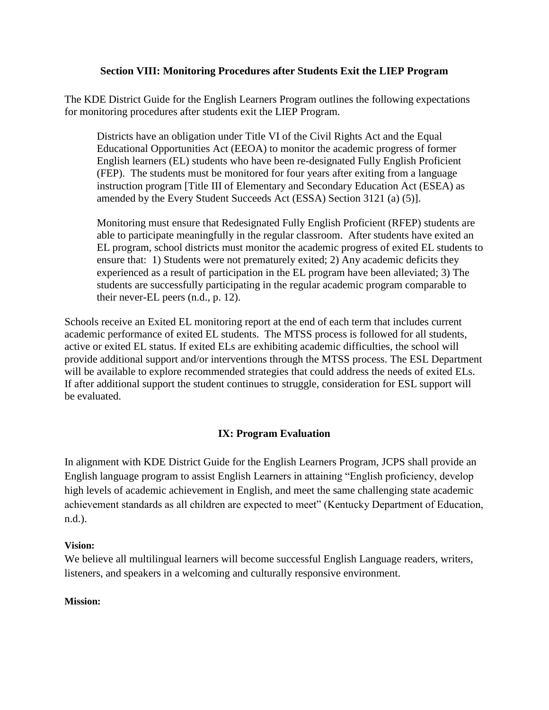## **Section VIII: Monitoring Procedures after Students Exit the LIEP Program**

The KDE District Guide for the English Learners Program outlines the following expectations for monitoring procedures after students exit the LIEP Program.

Districts have an obligation under Title VI of the Civil Rights Act and the Equal Educational Opportunities Act (EEOA) to monitor the academic progress of former English learners (EL) students who have been re-designated Fully English Proficient (FEP). The students must be monitored for four years after exiting from a language instruction program [Title III of Elementary and Secondary Education Act (ESEA) as amended by the Every Student Succeeds Act (ESSA) Section 3121 (a) (5)].

Monitoring must ensure that Redesignated Fully English Proficient (RFEP) students are able to participate meaningfully in the regular classroom. After students have exited an EL program, school districts must monitor the academic progress of exited EL students to ensure that: 1) Students were not prematurely exited; 2) Any academic deficits they experienced as a result of participation in the EL program have been alleviated; 3) The students are successfully participating in the regular academic program comparable to their never-EL peers (n.d., p. 12).

Schools receive an Exited EL monitoring report at the end of each term that includes current academic performance of exited EL students. The MTSS process is followed for all students, active or exited EL status. If exited ELs are exhibiting academic difficulties, the school will provide additional support and/or interventions through the MTSS process. The ESL Department will be available to explore recommended strategies that could address the needs of exited ELs. If after additional support the student continues to struggle, consideration for ESL support will be evaluated.

## **IX: Program Evaluation**

In alignment with KDE District Guide for the English Learners Program, JCPS shall provide an English language program to assist English Learners in attaining "English proficiency, develop high levels of academic achievement in English, and meet the same challenging state academic achievement standards as all children are expected to meet" (Kentucky Department of Education, n.d.).

## **Vision:**

We believe all multilingual learners will become successful English Language readers, writers, listeners, and speakers in a welcoming and culturally responsive environment.

## **Mission:**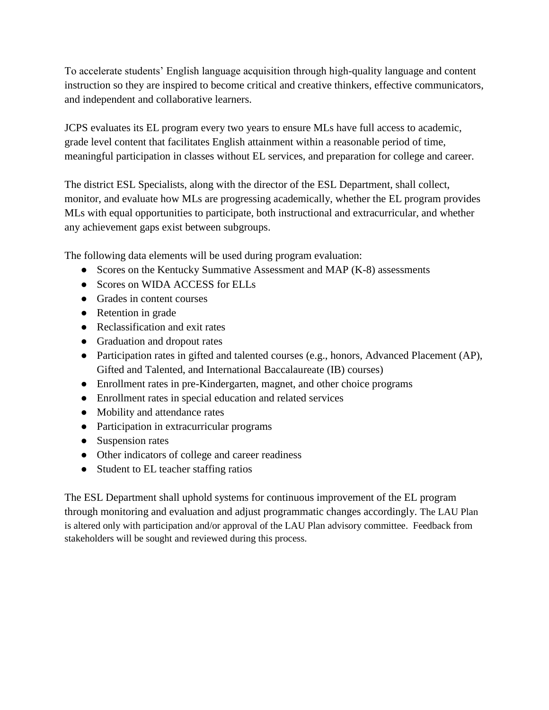To accelerate students' English language acquisition through high-quality language and content instruction so they are inspired to become critical and creative thinkers, effective communicators, and independent and collaborative learners.

JCPS evaluates its EL program every two years to ensure MLs have full access to academic, grade level content that facilitates English attainment within a reasonable period of time, meaningful participation in classes without EL services, and preparation for college and career.

The district ESL Specialists, along with the director of the ESL Department, shall collect, monitor, and evaluate how MLs are progressing academically, whether the EL program provides MLs with equal opportunities to participate, both instructional and extracurricular, and whether any achievement gaps exist between subgroups.

The following data elements will be used during program evaluation:

- Scores on the Kentucky Summative Assessment and MAP (K-8) assessments
- Scores on WIDA ACCESS for ELLs
- Grades in content courses
- Retention in grade
- Reclassification and exit rates
- Graduation and dropout rates
- Participation rates in gifted and talented courses (e.g., honors, Advanced Placement (AP), Gifted and Talented, and International Baccalaureate (IB) courses)
- Enrollment rates in pre-Kindergarten, magnet, and other choice programs
- Enrollment rates in special education and related services
- Mobility and attendance rates
- Participation in extracurricular programs
- Suspension rates
- Other indicators of college and career readiness
- Student to EL teacher staffing ratios

The ESL Department shall uphold systems for continuous improvement of the EL program through monitoring and evaluation and adjust programmatic changes accordingly. The LAU Plan is altered only with participation and/or approval of the LAU Plan advisory committee. Feedback from stakeholders will be sought and reviewed during this process.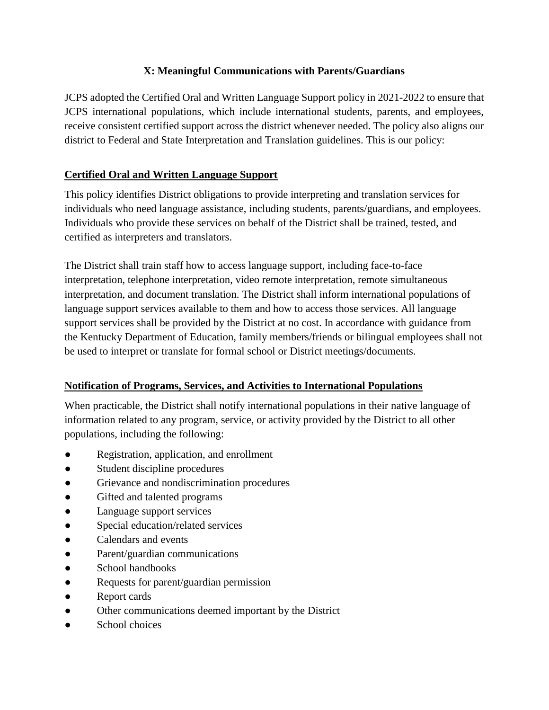# **X: Meaningful Communications with Parents/Guardians**

JCPS adopted the Certified Oral and Written Language Support policy in 2021-2022 to ensure that JCPS international populations, which include international students, parents, and employees, receive consistent certified support across the district whenever needed. The policy also aligns our district to Federal and State Interpretation and Translation guidelines. This is our policy:

# **Certified Oral and Written Language Support**

This policy identifies District obligations to provide interpreting and translation services for individuals who need language assistance, including students, parents/guardians, and employees. Individuals who provide these services on behalf of the District shall be trained, tested, and certified as interpreters and translators.

The District shall train staff how to access language support, including face-to-face interpretation, telephone interpretation, video remote interpretation, remote simultaneous interpretation, and document translation. The District shall inform international populations of language support services available to them and how to access those services. All language support services shall be provided by the District at no cost. In accordance with guidance from the Kentucky Department of Education, family members/friends or bilingual employees shall not be used to interpret or translate for formal school or District meetings/documents.

# **Notification of Programs, Services, and Activities to International Populations**

When practicable, the District shall notify international populations in their native language of information related to any program, service, or activity provided by the District to all other populations, including the following:

- Registration, application, and enrollment
- Student discipline procedures
- Grievance and nondiscrimination procedures
- Gifted and talented programs
- Language support services
- Special education/related services
- Calendars and events
- Parent/guardian communications
- School handbooks
- Requests for parent/guardian permission
- Report cards
- Other communications deemed important by the District
- School choices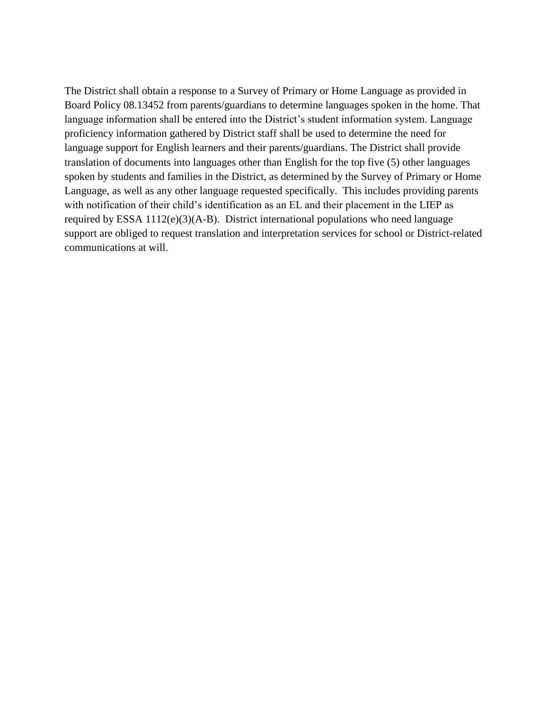The District shall obtain a response to a Survey of Primary or Home Language as provided in Board Policy 08.13452 from parents/guardians to determine languages spoken in the home. That language information shall be entered into the District's student information system. Language proficiency information gathered by District staff shall be used to determine the need for language support for English learners and their parents/guardians. The District shall provide translation of documents into languages other than English for the top five (5) other languages spoken by students and families in the District, as determined by the Survey of Primary or Home Language, as well as any other language requested specifically. This includes providing parents with notification of their child's identification as an EL and their placement in the LIEP as required by ESSA 1112(e)(3)(A-B). District international populations who need language support are obliged to request translation and interpretation services for school or District-related communications at will.